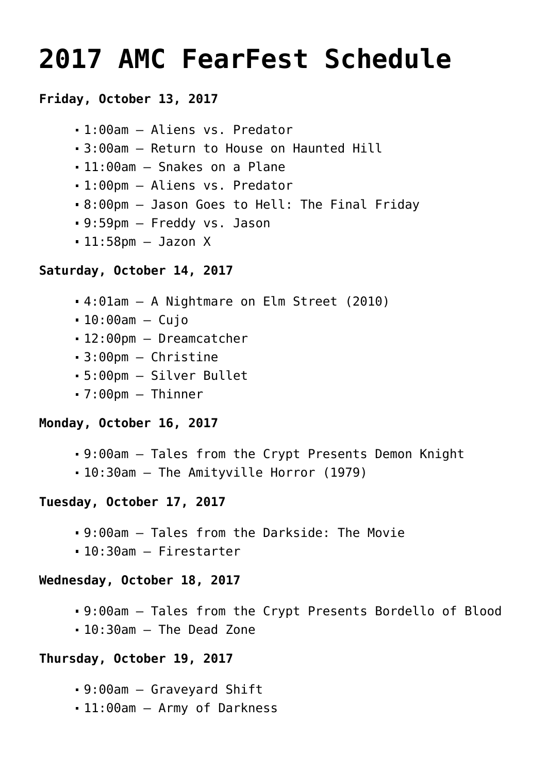# **[2017 AMC FearFest Schedule](https://www.halloweenmoviesontv.com/archives/2017-amc-fearfest-schedule/)**

# **Friday, October 13, 2017**

```
1:00am – Aliens vs. Predator
```
- 3:00am Return to House on Haunted Hill
- 11:00am Snakes on a Plane
- 1:00pm Aliens vs. Predator
- 8:00pm Jason Goes to Hell: The Final Friday
- 9:59pm Freddy vs. Jason
- $-11:58$ pm Jazon X

#### **Saturday, October 14, 2017**

- 4:01am A Nightmare on Elm Street (2010)
- $-10:00$ am Cujo
- 12:00pm Dreamcatcher
- 3:00pm Christine
- 5:00pm Silver Bullet
- 7:00pm Thinner

# **Monday, October 16, 2017**

- 9:00am Tales from the Crypt Presents Demon Knight
- 10:30am The Amityville Horror (1979)

# **Tuesday, October 17, 2017**

- 9:00am Tales from the Darkside: The Movie
- 10:30am Firestarter

#### **Wednesday, October 18, 2017**

- 9:00am Tales from the Crypt Presents Bordello of Blood
- 10:30am The Dead Zone

# **Thursday, October 19, 2017**

- 9:00am Graveyard Shift
- 11:00am Army of Darkness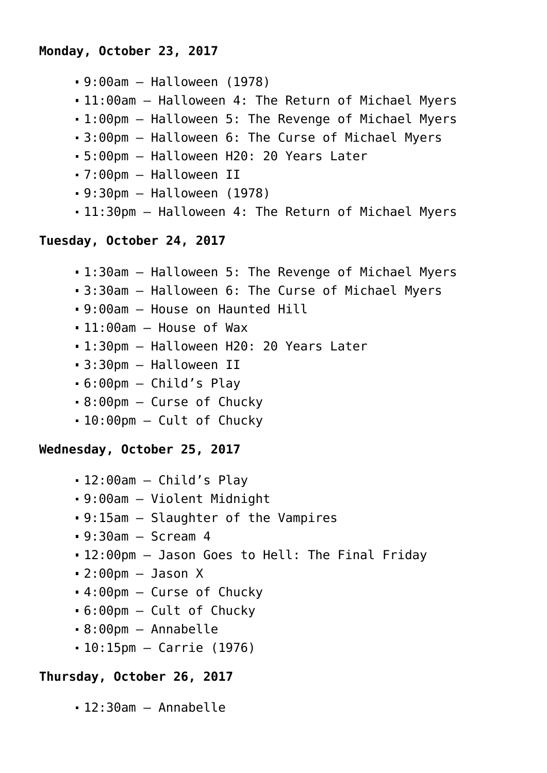- 9:00am Halloween (1978)
- 11:00am Halloween 4: The Return of Michael Myers
- 1:00pm Halloween 5: The Revenge of Michael Myers
- 3:00pm Halloween 6: The Curse of Michael Myers
- 5:00pm Halloween H20: 20 Years Later
- 7:00pm Halloween II
- 9:30pm Halloween (1978)
- 11:30pm Halloween 4: The Return of Michael Myers

#### **Tuesday, October 24, 2017**

- 1:30am Halloween 5: The Revenge of Michael Myers
- 3:30am Halloween 6: The Curse of Michael Myers
- 9:00am House on Haunted Hill
- $-11:00$ am House of Wax
- 1:30pm Halloween H20: 20 Years Later
- 3:30pm Halloween II
- 6:00pm Child's Play
- 8:00pm Curse of Chucky
- 10:00pm Cult of Chucky

#### **Wednesday, October 25, 2017**

- 12:00am Child's Play
- 9:00am Violent Midnight
- 9:15am Slaughter of the Vampires
- $-9:30$ am Scream 4
- 12:00pm Jason Goes to Hell: The Final Friday
- $-2:00$ pm Jason X
- 4:00pm Curse of Chucky
- 6:00pm Cult of Chucky
- 8:00pm Annabelle
- 10:15pm Carrie (1976)

# **Thursday, October 26, 2017**

12:30am – Annabelle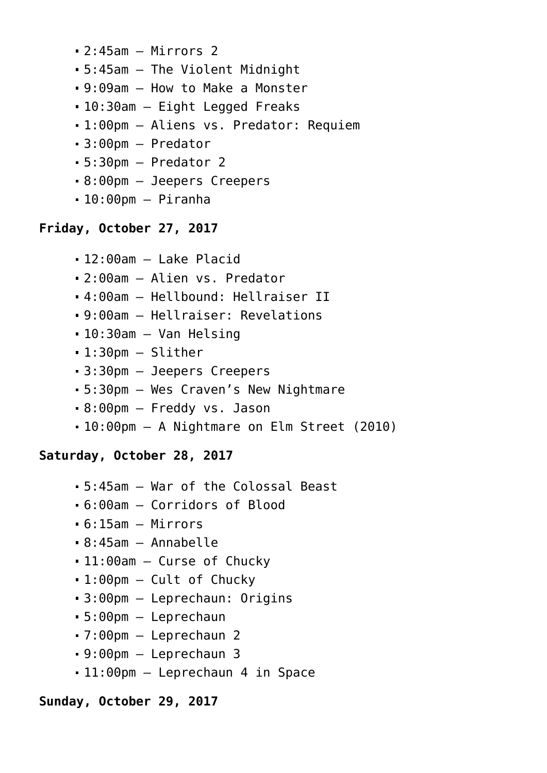- 2:45am Mirrors 2
- 5:45am The Violent Midnight
- 9:09am How to Make a Monster
- 10:30am Eight Legged Freaks
- 1:00pm Aliens vs. Predator: Requiem
- 3:00pm Predator
- 5:30pm Predator 2
- 8:00pm Jeepers Creepers
- $-10:00$ pm Piranha

# **Friday, October 27, 2017**

- 12:00am Lake Placid
- 2:00am Alien vs. Predator
- 4:00am Hellbound: Hellraiser II
- 9:00am Hellraiser: Revelations
- 10:30am Van Helsing
- 1:30pm Slither
- 3:30pm Jeepers Creepers
- 5:30pm Wes Craven's New Nightmare
- 8:00pm Freddy vs. Jason
- 10:00pm A Nightmare on Elm Street (2010)

# **Saturday, October 28, 2017**

- 5:45am War of the Colossal Beast
- 6:00am Corridors of Blood
- 6:15am Mirrors
- 8:45am Annabelle
- 11:00am Curse of Chucky
- 1:00pm Cult of Chucky
- 3:00pm Leprechaun: Origins
- 5:00pm Leprechaun
- 7:00pm Leprechaun 2
- 9:00pm Leprechaun 3
- 11:00pm Leprechaun 4 in Space

#### **Sunday, October 29, 2017**